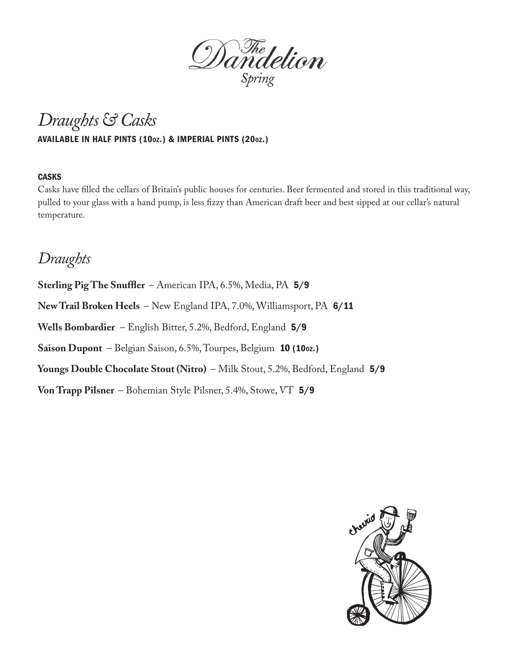

# *Draughts & Casks*

#### AVAILABLE IN HALF PINTS (10oz.) & IMPERIAL PINTS (20oz.)

#### **CASKS**

Casks have filled the cellars of Britain's public houses for centuries. Beer fermented and stored in this traditional way, pulled to your glass with a hand pump, is less fizzy than American draft beer and best sipped at our cellar's natural temperature.

### *Draughts*

**Sterling Pig The Snuffler** – American IPA, 6.5%, Media, PA 5/9 **New Trail Broken Heels** – New England IPA, 7.0%, Williamsport, PA 6/11 **Wells Bombardier** – English Bitter, 5.2%, Bedford, England 5/9 **Saison Dupont** – Belgian Saison, 6.5%, Tourpes, Belgium 10 (10oz.) **Youngs Double Chocolate Stout (Nitro)** – Milk Stout, 5.2%, Bedford, England 5/9 **Von Trapp Pilsner** – Bohemian Style Pilsner, 5.4%, Stowe, VT 5/9